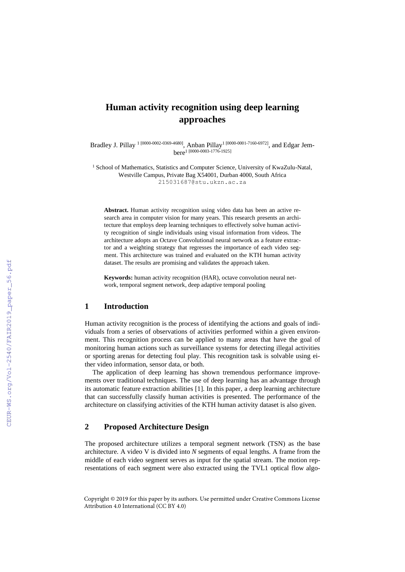# **Human activity recognition using deep learning approaches**

Bradley J. Pillay <sup>1</sup> [0000-0002-0369-4680], Anban Pillay<sup>1</sup> [0000-0001-7160-6972], and Edgar Jembere<sup>1</sup> [0000-0003-1776-1925]

<sup>1</sup> School of Mathematics, Statistics and Computer Science, University of KwaZulu-Natal, Westville Campus, Private Bag X54001, Durban 4000, South Africa [215031687@stu.ukzn.ac.za](mailto:215031687@stu.ukzn.ac.za)

**Abstract.** Human activity recognition using video data has been an active research area in computer vision for many years. This research presents an architecture that employs deep learning techniques to effectively solve human activity recognition of single individuals using visual information from videos. The architecture adopts an Octave Convolutional neural network as a feature extractor and a weighting strategy that regresses the importance of each video segment. This architecture was trained and evaluated on the KTH human activity dataset. The results are promising and validates the approach taken.

**Keywords:** human activity recognition (HAR), octave convolution neural network, temporal segment network, deep adaptive temporal pooling

#### **1 Introduction**

Human activity recognition is the process of identifying the actions and goals of individuals from a series of observations of activities performed within a given environment. This recognition process can be applied to many areas that have the goal of monitoring human actions such as surveillance systems for detecting illegal activities or sporting arenas for detecting foul play. This recognition task is solvable using either video information, sensor data, or both.

The application of deep learning has shown tremendous performance improvements over traditional techniques. The use of deep learning has an advantage through its automatic feature extraction abilities [1]. In this paper, a deep learning architecture that can successfully classify human activities is presented. The performance of the architecture on classifying activities of the KTH human activity dataset is also given.

## **2 Proposed Architecture Design**

The proposed architecture utilizes a temporal segment network (TSN) as the base architecture. A video V is divided into *N* segments of equal lengths. A frame from the middle of each video segment serves as input for the spatial stream. The motion representations of each segment were also extracted using the TVL1 optical flow algo-

Copyright © 2019 for this paper by its authors. Use permitted under Creative Commons License Attribution 4.0 International (CC BY 4.0)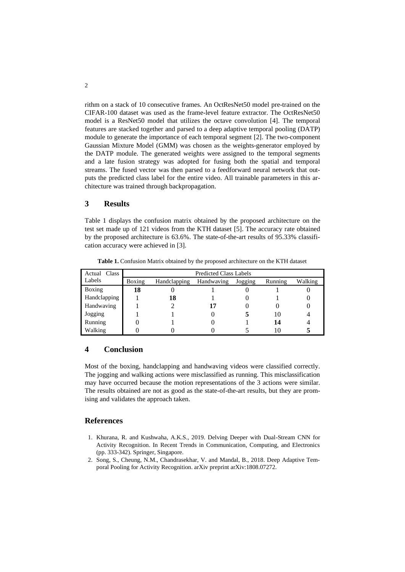rithm on a stack of 10 consecutive frames. An OctResNet50 model pre-trained on the CIFAR-100 dataset was used as the frame-level feature extractor. The OctResNet50 model is a ResNet50 model that utilizes the octave convolution [4]. The temporal features are stacked together and parsed to a deep adaptive temporal pooling (DATP) module to generate the importance of each temporal segment [2]. The two-component Gaussian Mixture Model (GMM) was chosen as the weights-generator employed by the DATP module. The generated weights were assigned to the temporal segments and a late fusion strategy was adopted for fusing both the spatial and temporal streams. The fused vector was then parsed to a feedforward neural network that outputs the predicted class label for the entire video. All trainable parameters in this architecture was trained through backpropagation.

## **3 Results**

Table 1 displays the confusion matrix obtained by the proposed architecture on the test set made up of 121 videos from the KTH dataset [5]. The accuracy rate obtained by the proposed architecture is 63.6%. The state-of-the-art results of 95.33% classification accuracy were achieved in [3].

| Actual Class | <b>Predicted Class Labels</b> |              |            |         |         |         |
|--------------|-------------------------------|--------------|------------|---------|---------|---------|
| Labels       | Boxing                        | Handclapping | Handwaving | Jogging | Running | Walking |
| Boxing       | 18                            |              |            |         |         |         |
| Handclapping |                               | 18           |            |         |         |         |
| Handwaving   |                               |              |            |         |         |         |
| Jogging      |                               |              |            |         | 10      |         |
| Running      |                               |              |            |         | 14      |         |
| Walking      |                               |              |            |         |         |         |

**Table 1.** Confusion Matrix obtained by the proposed architecture on the KTH dataset

### **4 Conclusion**

Most of the boxing, handclapping and handwaving videos were classified correctly. The jogging and walking actions were misclassified as running. This misclassification may have occurred because the motion representations of the 3 actions were similar. The results obtained are not as good as the state-of-the-art results, but they are promising and validates the approach taken.

#### **References**

- 1. Khurana, R. and Kushwaha, A.K.S., 2019. Delving Deeper with Dual-Stream CNN for Activity Recognition. In Recent Trends in Communication, Computing, and Electronics (pp. 333-342). Springer, Singapore.
- 2. Song, S., Cheung, N.M., Chandrasekhar, V. and Mandal, B., 2018. Deep Adaptive Temporal Pooling for Activity Recognition. arXiv preprint arXiv:1808.07272.